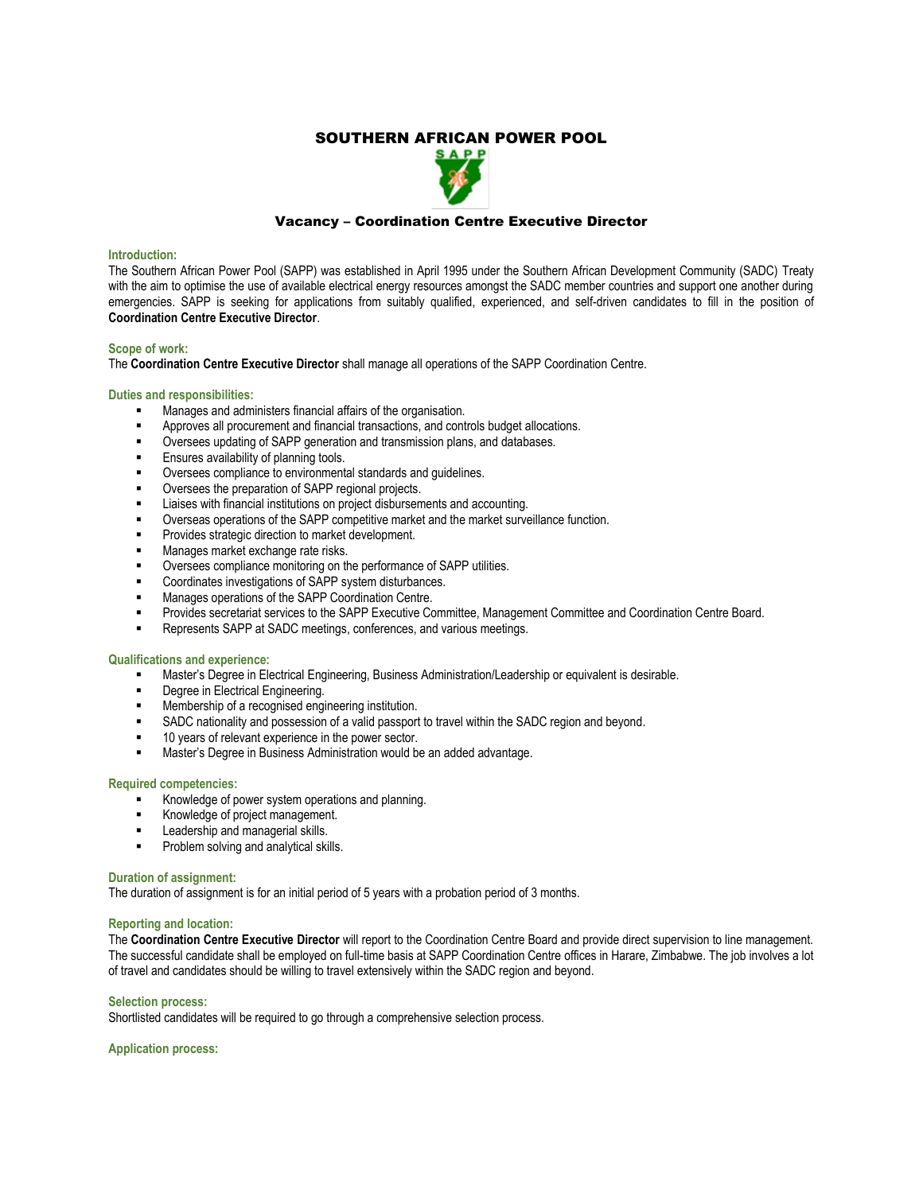# SOUTHERN AFRICAN POWER POOL



## Vacancy – Coordination Centre Executive Director

#### **Introduction:**

The Southern African Power Pool (SAPP) was established in April 1995 under the Southern African Development Community (SADC) Treaty with the aim to optimise the use of available electrical energy resources amongst the SADC member countries and support one another during emergencies. SAPP is seeking for applications from suitably qualified, experienced, and self-driven candidates to fill in the position of **Coordination Centre Executive Director**.

## **Scope of work:**

The **Coordination Centre Executive Director** shall manage all operations of the SAPP Coordination Centre.

### **Duties and responsibilities:**

- Manages and administers financial affairs of the organisation.
- Approves all procurement and financial transactions, and controls budget allocations.
- Oversees updating of SAPP generation and transmission plans, and databases.
- Ensures availability of planning tools.
- Oversees compliance to environmental standards and guidelines.
- Oversees the preparation of SAPP regional projects.
- Liaises with financial institutions on project disbursements and accounting.
- Overseas operations of the SAPP competitive market and the market surveillance function.
- Provides strategic direction to market development.
- Manages market exchange rate risks.
- Oversees compliance monitoring on the performance of SAPP utilities.
- Coordinates investigations of SAPP system disturbances.
- Manages operations of the SAPP Coordination Centre.
- Provides secretariat services to the SAPP Executive Committee, Management Committee and Coordination Centre Board.
- Represents SAPP at SADC meetings, conferences, and various meetings.

#### **Qualifications and experience:**

- Master's Degree in Electrical Engineering, Business Administration/Leadership or equivalent is desirable.
- Degree in Electrical Engineering.
- Membership of a recognised engineering institution.
- SADC nationality and possession of a valid passport to travel within the SADC region and beyond.
- 10 years of relevant experience in the power sector.
- Master's Degree in Business Administration would be an added advantage.

#### **Required competencies:**

- Knowledge of power system operations and planning.
- Knowledge of project management.
- Leadership and managerial skills.
- **•** Problem solving and analytical skills.

#### **Duration of assignment:**

The duration of assignment is for an initial period of 5 years with a probation period of 3 months.

## **Reporting and location:**

The **Coordination Centre Executive Director** will report to the Coordination Centre Board and provide direct supervision to line management. The successful candidate shall be employed on full-time basis at SAPP Coordination Centre offices in Harare, Zimbabwe. The job involves a lot of travel and candidates should be willing to travel extensively within the SADC region and beyond.

## **Selection process:**

Shortlisted candidates will be required to go through a comprehensive selection process.

**Application process:**